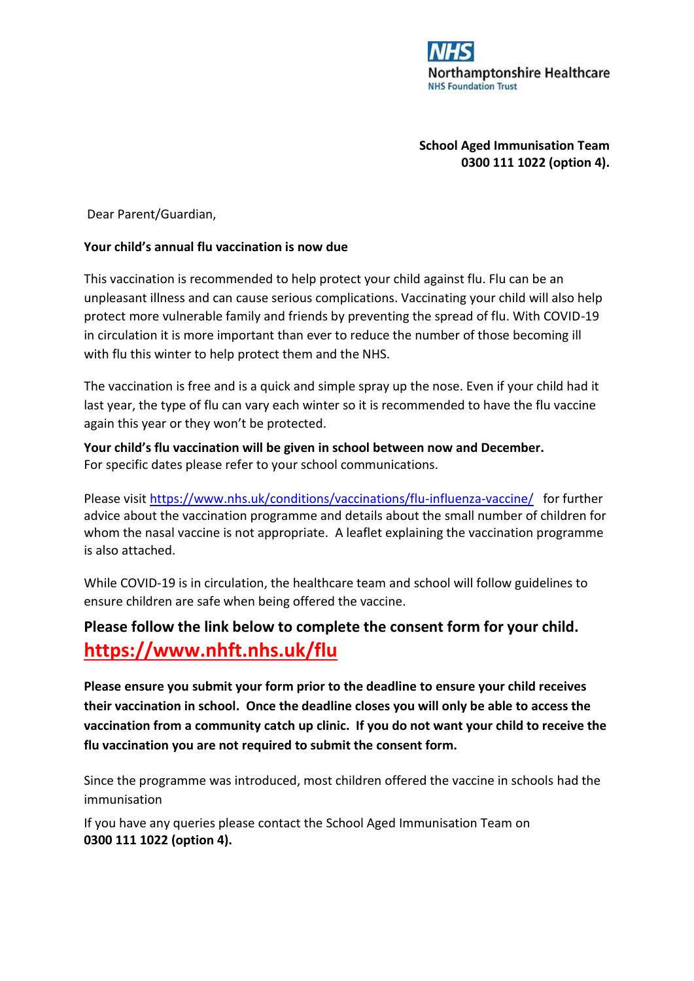

**School Aged Immunisation Team 0300 111 1022 (option 4).** 

Dear Parent/Guardian,

## **Your child's annual flu vaccination is now due**

This vaccination is recommended to help protect your child against flu. Flu can be an unpleasant illness and can cause serious complications. Vaccinating your child will also help protect more vulnerable family and friends by preventing the spread of flu. With COVID-19 in circulation it is more important than ever to reduce the number of those becoming ill with flu this winter to help protect them and the NHS.

The vaccination is free and is a quick and simple spray up the nose. Even if your child had it last year, the type of flu can vary each winter so it is recommended to have the flu vaccine again this year or they won't be protected.

**Your child's flu vaccination will be given in school between now and December.**  For specific dates please refer to your school communications.

Please visit<https://www.nhs.uk/conditions/vaccinations/flu-influenza-vaccine/>for further advice about the vaccination programme and details about the small number of children for whom the nasal vaccine is not appropriate. A leaflet explaining the vaccination programme is also attached.

While COVID-19 is in circulation, the healthcare team and school will follow guidelines to ensure children are safe when being offered the vaccine.

## **Please follow the link below to complete the consent form for your child. <https://www.nhft.nhs.uk/flu>**

**Please ensure you submit your form prior to the deadline to ensure your child receives their vaccination in school. Once the deadline closes you will only be able to access the vaccination from a community catch up clinic. If you do not want your child to receive the flu vaccination you are not required to submit the consent form.** 

Since the programme was introduced, most children offered the vaccine in schools had the immunisation

If you have any queries please contact the School Aged Immunisation Team on **0300 111 1022 (option 4).**